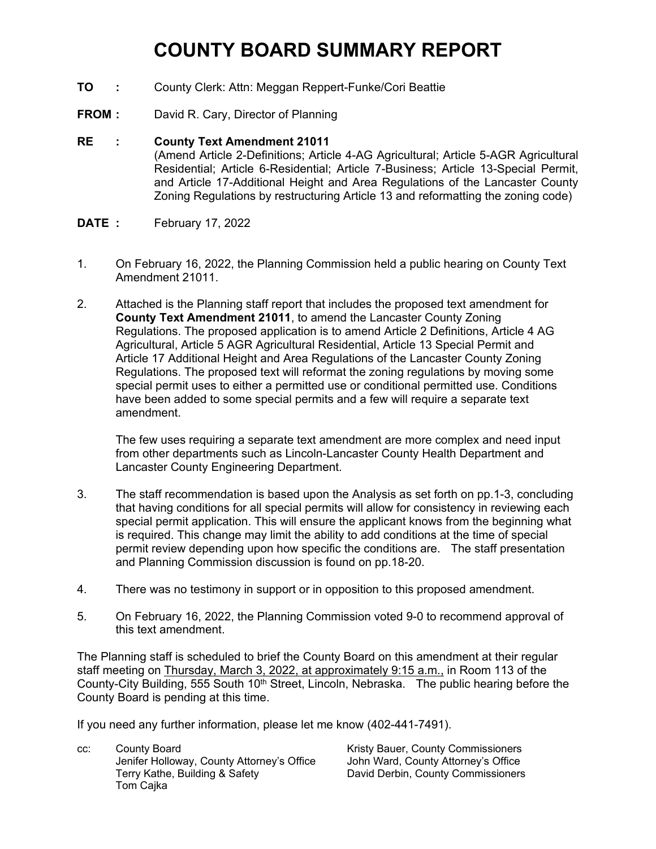# **COUNTY BOARD SUMMARY REPORT**

- **TO :** County Clerk: Attn: Meggan Reppert-Funke/Cori Beattie
- **FROM :** David R. Cary, Director of Planning

#### **RE : County Text Amendment 21011**

(Amend Article 2-Definitions; Article 4-AG Agricultural; Article 5-AGR Agricultural Residential; Article 6-Residential; Article 7-Business; Article 13-Special Permit, and Article 17-Additional Height and Area Regulations of the Lancaster County Zoning Regulations by restructuring Article 13 and reformatting the zoning code)

- **DATE :** February 17, 2022
- 1. On February 16, 2022, the Planning Commission held a public hearing on County Text Amendment 21011.
- 2. Attached is the Planning staff report that includes the proposed text amendment for **County Text Amendment 21011**, to amend the Lancaster County Zoning Regulations. The proposed application is to amend Article 2 Definitions, Article 4 AG Agricultural, Article 5 AGR Agricultural Residential, Article 13 Special Permit and Article 17 Additional Height and Area Regulations of the Lancaster County Zoning Regulations. The proposed text will reformat the zoning regulations by moving some special permit uses to either a permitted use or conditional permitted use. Conditions have been added to some special permits and a few will require a separate text amendment.

The few uses requiring a separate text amendment are more complex and need input from other departments such as Lincoln-Lancaster County Health Department and Lancaster County Engineering Department.

- 3. The staff recommendation is based upon the Analysis as set forth on pp.1-3, concluding that having conditions for all special permits will allow for consistency in reviewing each special permit application. This will ensure the applicant knows from the beginning what is required. This change may limit the ability to add conditions at the time of special permit review depending upon how specific the conditions are. The staff presentation and Planning Commission discussion is found on pp.18-20.
- 4. There was no testimony in support or in opposition to this proposed amendment.
- 5. On February 16, 2022, the Planning Commission voted 9-0 to recommend approval of this text amendment.

The Planning staff is scheduled to brief the County Board on this amendment at their regular staff meeting on Thursday, March 3, 2022, at approximately 9:15 a.m., in Room 113 of the County-City Building, 555 South 10<sup>th</sup> Street, Lincoln, Nebraska. The public hearing before the County Board is pending at this time.

If you need any further information, please let me know (402-441-7491).

cc: County Board County Board County Board County Board Kristy Bauer, County Commissioners Jenifer Holloway, County Attorney's Office John Ward, County Attorney's Office Terry Kathe, Building & Safety David Derbin, County Commissioners Tom Cajka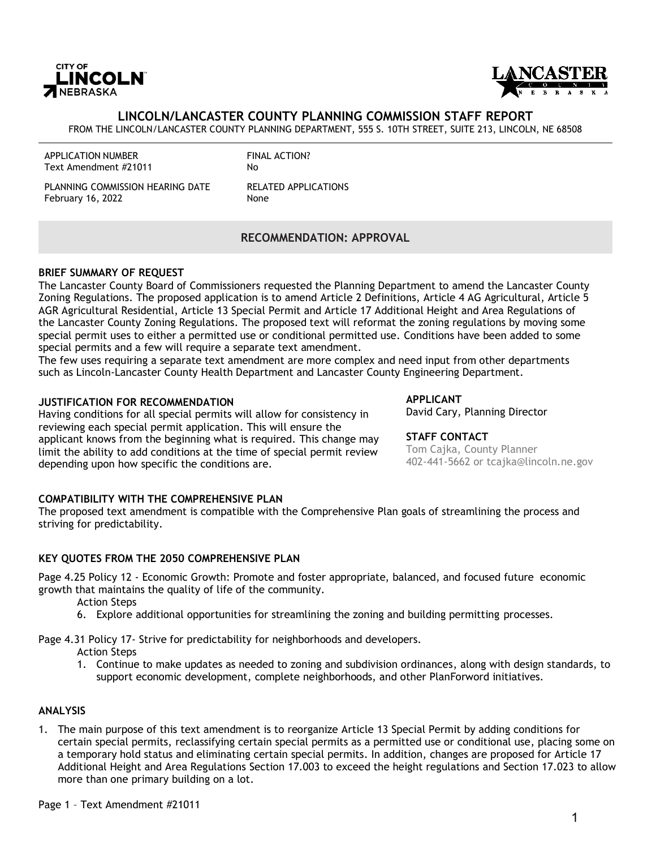



#### **LINCOLN/LANCASTER COUNTY PLANNING COMMISSION STAFF REPORT**

FROM THE LINCOLN/LANCASTER COUNTY PLANNING DEPARTMENT, 555 S. 10TH STREET, SUITE 213, LINCOLN, NE 68508

| <b>APPLICATION NUMBER</b> |
|---------------------------|
| Text Amendment #21011     |

FINAL ACTION? No

PLANNING COMMISSION HEARING DATE February 16, 2022

RELATED APPLICATIONS None

#### **RECOMMENDATION: APPROVAL**

#### **BRIEF SUMMARY OF REQUEST**

The Lancaster County Board of Commissioners requested the Planning Department to amend the Lancaster County Zoning Regulations. The proposed application is to amend Article 2 Definitions, Article 4 AG Agricultural, Article 5 AGR Agricultural Residential, Article 13 Special Permit and Article 17 Additional Height and Area Regulations of the Lancaster County Zoning Regulations. The proposed text will reformat the zoning regulations by moving some special permit uses to either a permitted use or conditional permitted use. Conditions have been added to some special permits and a few will require a separate text amendment.

The few uses requiring a separate text amendment are more complex and need input from other departments such as Lincoln-Lancaster County Health Department and Lancaster County Engineering Department.

#### **JUSTIFICATION FOR RECOMMENDATION**

Having conditions for all special permits will allow for consistency in reviewing each special permit application. This will ensure the applicant knows from the beginning what is required. This change may limit the ability to add conditions at the time of special permit review depending upon how specific the conditions are.

**APPLICANT** David Cary, Planning Director

**STAFF CONTACT** Tom Cajka, County Planner 402-441-5662 or tcajka@lincoln.ne.gov

#### **COMPATIBILITY WITH THE COMPREHENSIVE PLAN**

The proposed text amendment is compatible with the Comprehensive Plan goals of streamlining the process and striving for predictability.

#### **KEY QUOTES FROM THE 2050 COMPREHENSIVE PLAN**

Page 4.25 Policy 12 - Economic Growth: Promote and foster appropriate, balanced, and focused future economic growth that maintains the quality of life of the community.

Action Steps

6. Explore additional opportunities for streamlining the zoning and building permitting processes.

Page 4.31 Policy 17- Strive for predictability for neighborhoods and developers.

- Action Steps
- 1. Continue to make updates as needed to zoning and subdivision ordinances, along with design standards, to support economic development, complete neighborhoods, and other PlanForword initiatives.

#### **ANALYSIS**

1. The main purpose of this text amendment is to reorganize Article 13 Special Permit by adding conditions for certain special permits, reclassifying certain special permits as a permitted use or conditional use, placing some on a temporary hold status and eliminating certain special permits. In addition, changes are proposed for Article 17 Additional Height and Area Regulations Section 17.003 to exceed the height regulations and Section 17.023 to allow more than one primary building on a lot.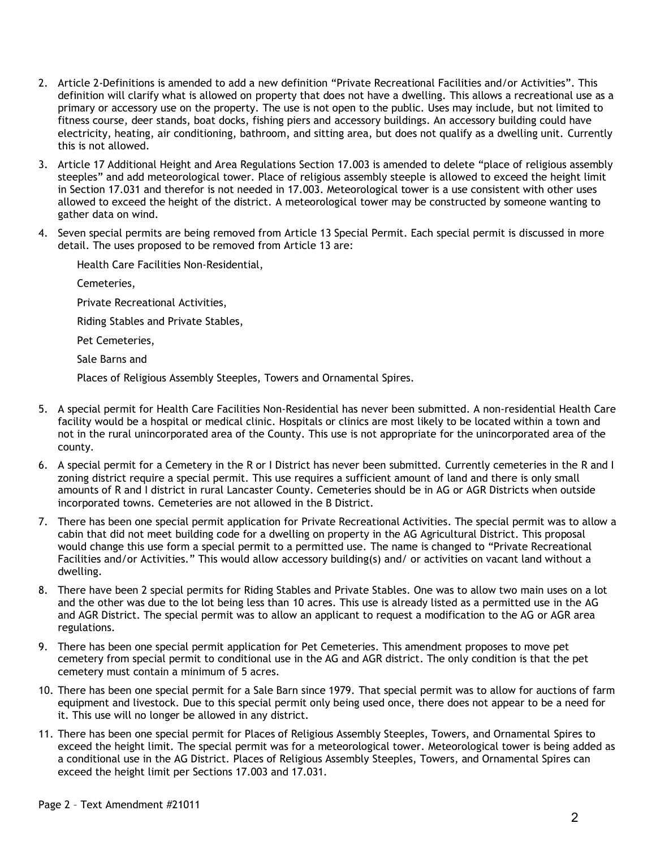- 2. Article 2-Definitions is amended to add a new definition "Private Recreational Facilities and/or Activities". This definition will clarify what is allowed on property that does not have a dwelling. This allows a recreational use as a primary or accessory use on the property. The use is not open to the public. Uses may include, but not limited to fitness course, deer stands, boat docks, fishing piers and accessory buildings. An accessory building could have electricity, heating, air conditioning, bathroom, and sitting area, but does not qualify as a dwelling unit. Currently this is not allowed.
- 3. Article 17 Additional Height and Area Regulations Section 17.003 is amended to delete "place of religious assembly steeples" and add meteorological tower. Place of religious assembly steeple is allowed to exceed the height limit in Section 17.031 and therefor is not needed in 17.003. Meteorological tower is a use consistent with other uses allowed to exceed the height of the district. A meteorological tower may be constructed by someone wanting to gather data on wind.
- 4. Seven special permits are being removed from Article 13 Special Permit. Each special permit is discussed in more detail. The uses proposed to be removed from Article 13 are:

Health Care Facilities Non-Residential,

Cemeteries,

Private Recreational Activities,

Riding Stables and Private Stables,

Pet Cemeteries,

Sale Barns and

Places of Religious Assembly Steeples, Towers and Ornamental Spires.

- 5. A special permit for Health Care Facilities Non-Residential has never been submitted. A non-residential Health Care facility would be a hospital or medical clinic. Hospitals or clinics are most likely to be located within a town and not in the rural unincorporated area of the County. This use is not appropriate for the unincorporated area of the county.
- 6. A special permit for a Cemetery in the R or I District has never been submitted. Currently cemeteries in the R and I zoning district require a special permit. This use requires a sufficient amount of land and there is only small amounts of R and I district in rural Lancaster County. Cemeteries should be in AG or AGR Districts when outside incorporated towns. Cemeteries are not allowed in the B District.
- 7. There has been one special permit application for Private Recreational Activities. The special permit was to allow a cabin that did not meet building code for a dwelling on property in the AG Agricultural District. This proposal would change this use form a special permit to a permitted use. The name is changed to "Private Recreational Facilities and/or Activities." This would allow accessory building(s) and/ or activities on vacant land without a dwelling.
- 8. There have been 2 special permits for Riding Stables and Private Stables. One was to allow two main uses on a lot and the other was due to the lot being less than 10 acres. This use is already listed as a permitted use in the AG and AGR District. The special permit was to allow an applicant to request a modification to the AG or AGR area regulations.
- 9. There has been one special permit application for Pet Cemeteries. This amendment proposes to move pet cemetery from special permit to conditional use in the AG and AGR district. The only condition is that the pet cemetery must contain a minimum of 5 acres.
- 10. There has been one special permit for a Sale Barn since 1979. That special permit was to allow for auctions of farm equipment and livestock. Due to this special permit only being used once, there does not appear to be a need for it. This use will no longer be allowed in any district.
- 11. There has been one special permit for Places of Religious Assembly Steeples, Towers, and Ornamental Spires to exceed the height limit. The special permit was for a meteorological tower. Meteorological tower is being added as a conditional use in the AG District. Places of Religious Assembly Steeples, Towers, and Ornamental Spires can exceed the height limit per Sections 17.003 and 17.031.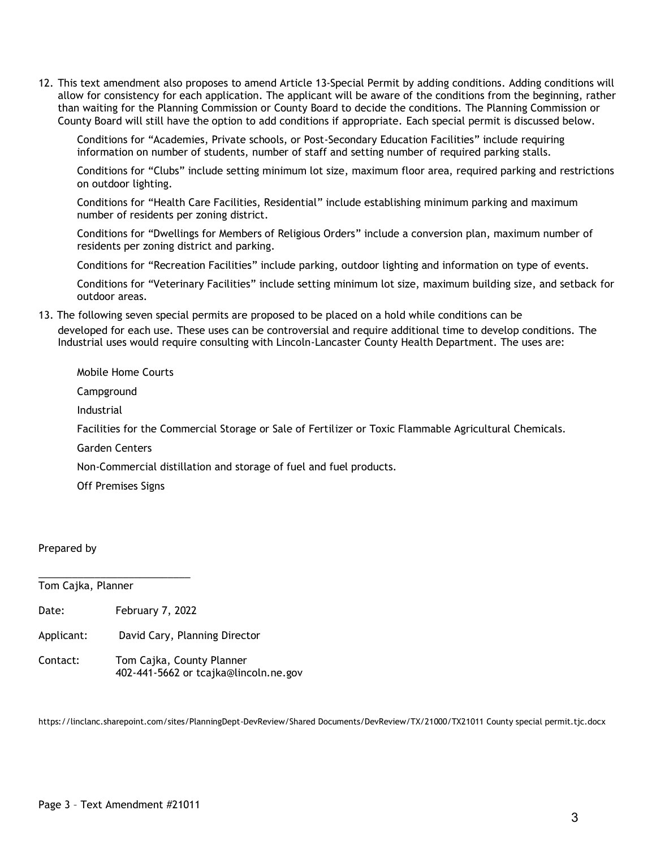12. This text amendment also proposes to amend Article 13-Special Permit by adding conditions. Adding conditions will allow for consistency for each application. The applicant will be aware of the conditions from the beginning, rather than waiting for the Planning Commission or County Board to decide the conditions. The Planning Commission or County Board will still have the option to add conditions if appropriate. Each special permit is discussed below.

Conditions for "Academies, Private schools, or Post-Secondary Education Facilities" include requiring information on number of students, number of staff and setting number of required parking stalls.

Conditions for "Clubs" include setting minimum lot size, maximum floor area, required parking and restrictions on outdoor lighting.

Conditions for "Health Care Facilities, Residential" include establishing minimum parking and maximum number of residents per zoning district.

Conditions for "Dwellings for Members of Religious Orders" include a conversion plan, maximum number of residents per zoning district and parking.

Conditions for "Recreation Facilities" include parking, outdoor lighting and information on type of events.

Conditions for "Veterinary Facilities" include setting minimum lot size, maximum building size, and setback for outdoor areas.

13. The following seven special permits are proposed to be placed on a hold while conditions can be developed for each use. These uses can be controversial and require additional time to develop conditions. The Industrial uses would require consulting with Lincoln-Lancaster County Health Department. The uses are:

Mobile Home Courts

Campground

Industrial

Facilities for the Commercial Storage or Sale of Fertilizer or Toxic Flammable Agricultural Chemicals.

Garden Centers

Non-Commercial distillation and storage of fuel and fuel products.

Off Premises Signs

Prepared by

Tom Cajka, Planner

Date: February 7, 2022

\_\_\_\_\_\_\_\_\_\_\_\_\_\_\_\_\_\_\_\_\_\_\_\_\_\_\_

- Applicant: David Cary, Planning Director
- Contact: Tom Cajka, County Planner 402-441-5662 or tcajka@lincoln.ne.gov

https://linclanc.sharepoint.com/sites/PlanningDept-DevReview/Shared Documents/DevReview/TX/21000/TX21011 County special permit.tjc.docx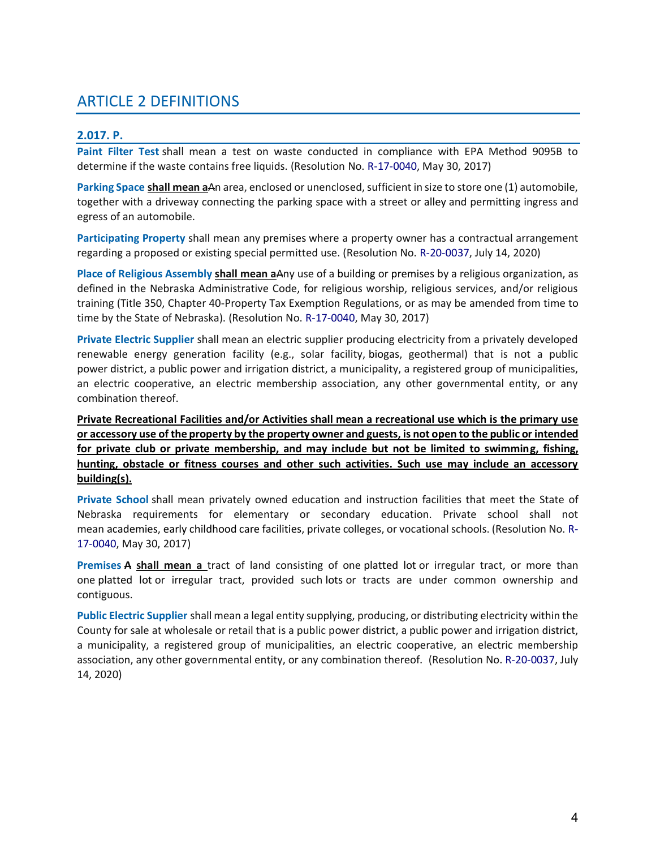# ARTICLE 2 DEFINITIONS

### **2.017. P.**

**Paint Filter Test** shall mean a test on waste conducted in compliance with EPA Method 9095B to determine if the waste contains free liquids. (Resolution No. R-17-0040, May 30, 2017)

**Parking Space shall mean a**An area, enclosed or unenclosed, sufficient in size to store one (1) automobile, together with a driveway connecting the parking space with a street or alley and permitting ingress and egress of an automobile.

**Participating Property** shall mean any premises where a property owner has a contractual arrangement regarding a proposed or existing special permitted use. (Resolution No. R-20-0037, July 14, 2020)

**Place of Religious Assembly shall mean a**Any use of a building or premises by a religious organization, as defined in the Nebraska Administrative Code, for religious worship, religious services, and/or religious training (Title 350, Chapter 40-Property Tax Exemption Regulations, or as may be amended from time to time by the State of Nebraska). (Resolution No. R-17-0040, May 30, 2017)

**Private Electric Supplier** shall mean an electric supplier producing electricity from a privately developed renewable energy generation facility (e.g., solar facility, biogas, geothermal) that is not a public power district, a public power and irrigation district, a municipality, a registered group of municipalities, an electric cooperative, an electric membership association, any other governmental entity, or any combination thereof.

**Private Recreational Facilities and/or Activities shall mean a recreational use which is the primary use or accessory use of the property by the property owner and guests, is not open to the public or intended for private club or private membership, and may include but not be limited to swimming, fishing, hunting, obstacle or fitness courses and other such activities. Such use may include an accessory building(s).**

**Private School** shall mean privately owned education and instruction facilities that meet the State of Nebraska requirements for elementary or secondary education. Private school shall not mean academies, early childhood care facilities, private colleges, or vocational schools. (Resolution No. R-17-0040, May 30, 2017)

**Premises A shall mean a** tract of land consisting of one platted lot or irregular tract, or more than one platted lot or irregular tract, provided such lots or tracts are under common ownership and contiguous.

**Public Electric Supplier** shall mean a legal entity supplying, producing, or distributing electricity within the County for sale at wholesale or retail that is a public power district, a public power and irrigation district, a municipality, a registered group of municipalities, an electric cooperative, an electric membership association, any other governmental entity, or any combination thereof. (Resolution No. R-20-0037, July 14, 2020)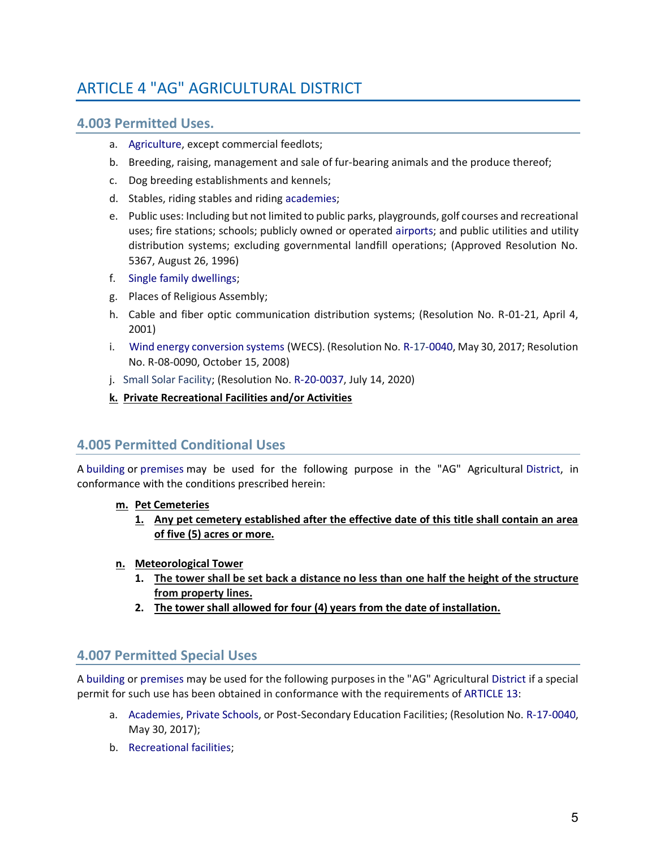# ARTICLE 4 "AG" AGRICULTURAL DISTRICT

## **4.003 Permitted Uses.**

- a. Agriculture, except commercial feedlots;
- b. Breeding, raising, management and sale of fur-bearing animals and the produce thereof;
- c. Dog breeding establishments and kennels;
- d. Stables, riding stables and riding academies;
- e. Public uses: Including but not limited to public parks, playgrounds, golf courses and recreational uses; fire stations; schools; publicly owned or operated airports; and public utilities and utility distribution systems; excluding governmental landfill operations; (Approved Resolution No. 5367, August 26, 1996)
- f. Single family dwellings;
- g. Places of Religious Assembly;
- h. Cable and fiber optic communication distribution systems; (Resolution No. R-01-21, April 4, 2001)
- i. Wind energy conversion systems (WECS). (Resolution No. R-17-0040, May 30, 2017; Resolution No. R-08-0090, October 15, 2008)
- j. Small Solar Facility; (Resolution No. R-20-0037, July 14, 2020)
- **k. Private Recreational Facilities and/or Activities**

## **4.005 Permitted Conditional Uses**

A building or premises may be used for the following purpose in the "AG" Agricultural District, in conformance with the conditions prescribed herein:

- **m. Pet Cemeteries**
	- **1. Any pet cemetery established after the effective date of this title shall contain an area of five (5) acres or more.**
- **n. Meteorological Tower**
	- **1. The tower shall be set back a distance no less than one half the height of the structure from property lines.**
	- **2. The tower shall allowed for four (4) years from the date of installation.**

## **4.007 Permitted Special Uses**

A building or premises may be used for the following purposes in the "AG" Agricultural District if a special permit for such use has been obtained in conformance with the requirements of ARTICLE 13:

- a. Academies, Private Schools, or Post-Secondary Education Facilities; (Resolution No. R-17-0040, May 30, 2017);
- b. Recreational facilities;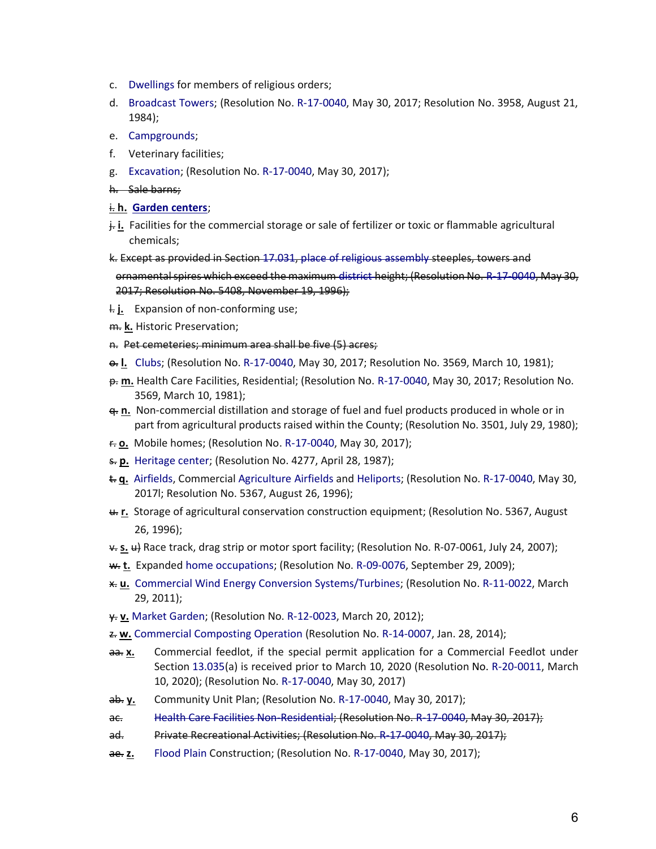- c. Dwellings for members of religious orders;
- d. Broadcast Towers; (Resolution No. R-17-0040, May 30, 2017; Resolution No. 3958, August 21, 1984);
- e. Campgrounds;
- f. Veterinary facilities;
- g. Excavation; (Resolution No. R-17-0040, May 30, 2017);
- h. Sale barns;

#### i. **h. Garden centers**;

- j. **i.** Facilities for the commercial storage or sale of fertilizer or toxic or flammable agricultural chemicals;
- k. Except as provided in Section 17.031, place of religious assembly steeples, towers and ornamental spires which exceed the maximum district height; (Resolution No. R-17-0040, May 30, 2017; Resolution No. 5408, November 19, 1996);
- l. **j.** Expansion of non-conforming use;
- m. **k.** Historic Preservation;
- n. Pet cemeteries; minimum area shall be five (5) acres;
- o. **l.** Clubs; (Resolution No. R-17-0040, May 30, 2017; Resolution No. 3569, March 10, 1981);
- p. **m.** Health Care Facilities, Residential; (Resolution No. R-17-0040, May 30, 2017; Resolution No. 3569, March 10, 1981);
- q. **n.** Non-commercial distillation and storage of fuel and fuel products produced in whole or in part from agricultural products raised within the County; (Resolution No. 3501, July 29, 1980);
- r. **o.** Mobile homes; (Resolution No. R-17-0040, May 30, 2017);
- s. **p.** Heritage center; (Resolution No. 4277, April 28, 1987);
- t. **q.** Airfields, Commercial Agriculture Airfields and Heliports; (Resolution No. R-17-0040, May 30, 2017l; Resolution No. 5367, August 26, 1996);
- u. **r.** Storage of agricultural conservation construction equipment; (Resolution No. 5367, August 26, 1996);
- v. **s.** u) Race track, drag strip or motor sport facility; (Resolution No. R-07-0061, July 24, 2007);
- w. **t.** Expanded home occupations; (Resolution No. R-09-0076, September 29, 2009);
- x. **u.** Commercial Wind Energy Conversion Systems/Turbines; (Resolution No. R-11-0022, March 29, 2011);
- y. **v.** Market Garden; (Resolution No. R-12-0023, March 20, 2012);
- z. **w.** Commercial Composting Operation (Resolution No. R-14-0007, Jan. 28, 2014);
- aa. **x.** Commercial feedlot, if the special permit application for a Commercial Feedlot under Section 13.035(a) is received prior to March 10, 2020 (Resolution No. R-20-0011, March 10, 2020); (Resolution No. R-17-0040, May 30, 2017)
- ab. **y.** Community Unit Plan; (Resolution No. R-17-0040, May 30, 2017);
- ac. Health Care Facilities Non-Residential; (Resolution No. R-17-0040, May 30, 2017);
- ad. Private Recreational Activities; (Resolution No. R-17-0040, May 30, 2017);
- ae. **z.** Flood Plain Construction; (Resolution No. R-17-0040, May 30, 2017);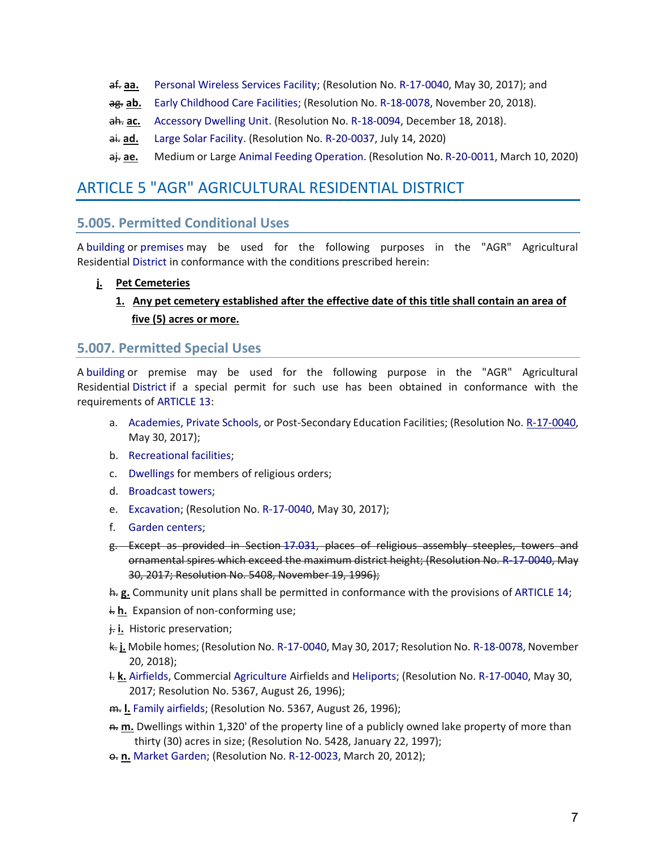- af. **aa.** Personal Wireless Services Facility; (Resolution No. R-17-0040, May 30, 2017); and
- ag. **ab.** Early Childhood Care Facilities; (Resolution No. R-18-0078, November 20, 2018).
- ah. **ac.** Accessory Dwelling Unit. (Resolution No. R-18-0094, December 18, 2018).
- ai. ad. Large Solar Facility. (Resolution No. R-20-0037, July 14, 2020)
- aj. **ae.** Medium or Large Animal Feeding Operation. (Resolution No. R-20-0011, March 10, 2020)

## ARTICLE 5 "AGR" AGRICULTURAL RESIDENTIAL DISTRICT

## **5.005. Permitted Conditional Uses**

A building or premises may be used for the following purposes in the "AGR" Agricultural Residential District in conformance with the conditions prescribed herein:

#### **j. Pet Cemeteries**

## **1. Any pet cemetery established after the effective date of this title shall contain an area of five (5) acres or more.**

#### **5.007. Permitted Special Uses**

A building or premise may be used for the following purpose in the "AGR" Agricultural Residential District if a special permit for such use has been obtained in conformance with the requirements of ARTICLE 13:

- a. Academies, Private Schools, or Post-Secondary Education Facilities; (Resolution No. R-17-0040, May 30, 2017);
- b. Recreational facilities;
- c. Dwellings for members of religious orders;
- d. Broadcast towers;
- e. Excavation; (Resolution No. R-17-0040, May 30, 2017);
- f. Garden centers;
- g. Except as provided in Section 17.031, places of religious assembly steeples, towers and ornamental spires which exceed the maximum district height; (Resolution No. R-17-0040, May 30, 2017; Resolution No. 5408, November 19, 1996);
- h. **g.** Community unit plans shall be permitted in conformance with the provisions of ARTICLE 14;
- i. **h.** Expansion of non-conforming use;
- j. **i.** Historic preservation;
- k. **j.** Mobile homes; (Resolution No. R-17-0040, May 30, 2017; Resolution No. R-18-0078, November 20, 2018);
- l. **k.** Airfields, Commercial Agriculture Airfields and Heliports; (Resolution No. R-17-0040, May 30, 2017; Resolution No. 5367, August 26, 1996);
- m. **l.** Family airfields; (Resolution No. 5367, August 26, 1996);
- n. **m.** Dwellings within 1,320' of the property line of a publicly owned lake property of more than thirty (30) acres in size; (Resolution No. 5428, January 22, 1997);
- **e. n.** Market Garden; (Resolution No. R-12-0023, March 20, 2012);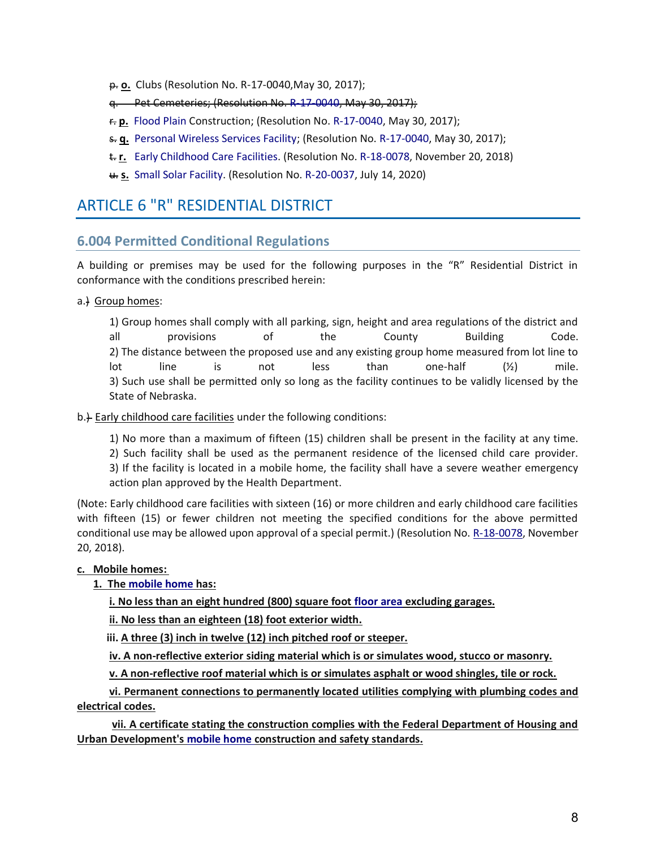- p. **o.** Clubs (Resolution No. R-17-0040,May 30, 2017);
- q. Pet Cemeteries; (Resolution No. R-17-0040, May 30, 2017);
- r. **p.** Flood Plain Construction; (Resolution No. R-17-0040, May 30, 2017);
- s. **q.** Personal Wireless Services Facility; (Resolution No. R-17-0040, May 30, 2017);
- t. **r.** Early Childhood Care Facilities. (Resolution No. R-18-0078, November 20, 2018)
- u. **s.** Small Solar Facility. (Resolution No. R-20-0037, July 14, 2020)

## ARTICLE 6 "R" RESIDENTIAL DISTRICT

## **6.004 Permitted Conditional Regulations**

A building or premises may be used for the following purposes in the "R" Residential District in conformance with the conditions prescribed herein:

a.) Group homes:

1) Group homes shall comply with all parking, sign, height and area regulations of the district and all provisions of the County Building Code. 2) The distance between the proposed use and any existing group home measured from lot line to lot line is not less than one-half (½) mile. 3) Such use shall be permitted only so long as the facility continues to be validly licensed by the State of Nebraska.

b.) Early childhood care facilities under the following conditions:

1) No more than a maximum of fifteen (15) children shall be present in the facility at any time. 2) Such facility shall be used as the permanent residence of the licensed child care provider. 3) If the facility is located in a mobile home, the facility shall have a severe weather emergency action plan approved by the Health Department.

(Note: Early childhood care facilities with sixteen (16) or more children and early childhood care facilities with fifteen (15) or fewer children not meeting the specified conditions for the above permitted conditional use may be allowed upon approval of a special permit.) (Resolution No. R-18-0078, November 20, 2018).

#### **c. Mobile homes:**

#### **1. The mobile home has:**

**i. No less than an eight hundred (800) square foot floor area excluding garages.**

**ii. No less than an eighteen (18) foot exterior width.**

**iii. A three (3) inch in twelve (12) inch pitched roof or steeper.**

**iv. A non-reflective exterior siding material which is or simulates wood, stucco or masonry.**

**v. A non-reflective roof material which is or simulates asphalt or wood shingles, tile or rock.**

 **vi. Permanent connections to permanently located utilities complying with plumbing codes and electrical codes.**

 **vii. A certificate stating the construction complies with the Federal Department of Housing and Urban Development's mobile home construction and safety standards.**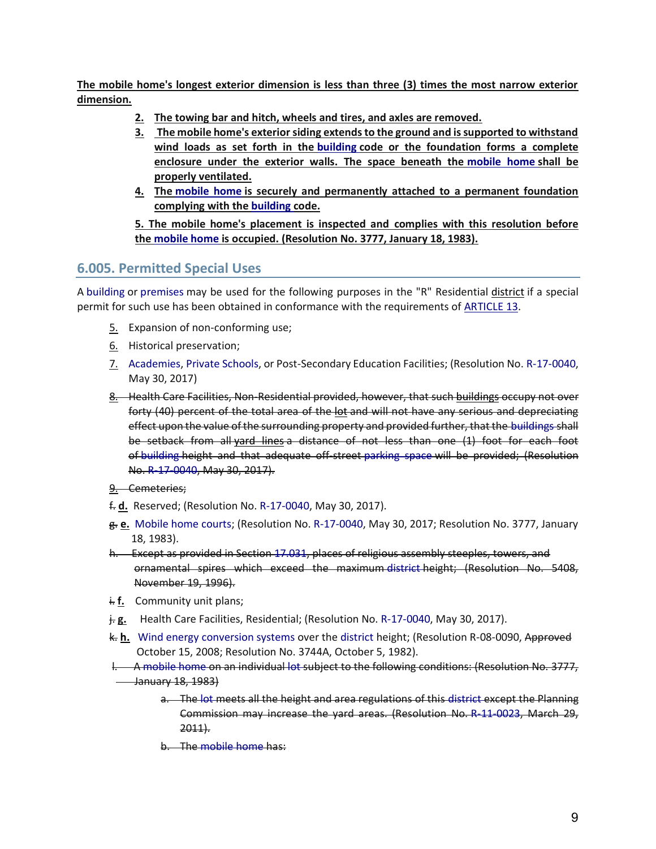**The mobile home's longest exterior dimension is less than three (3) times the most narrow exterior dimension.**

- **2. The towing bar and hitch, wheels and tires, and axles are removed.**
- **3. The mobile home's exterior siding extends to the ground and is supported to withstand wind loads as set forth in the building code or the foundation forms a complete enclosure under the exterior walls. The space beneath the mobile home shall be properly ventilated.**
- **4. The mobile home is securely and permanently attached to a permanent foundation complying with the building code.**

**5. The mobile home's placement is inspected and complies with this resolution before the mobile home is occupied. (Resolution No. 3777, January 18, 1983).**

## **6.005. Permitted Special Uses**

A building or premises may be used for the following purposes in the "R" Residential district if a special permit for such use has been obtained in conformance with the requirements of ARTICLE 13.

- 5. Expansion of non-conforming use;
- 6. Historical preservation;
- 7. Academies, Private Schools, or Post-Secondary Education Facilities; (Resolution No. R-17-0040, May 30, 2017)
- 8. Health Care Facilities, Non-Residential provided, however, that such buildings occupy not over forty (40) percent of the total area of the lot and will not have any serious and depreciating effect upon the value of the surrounding property and provided further, that the buildings shall be setback from all yard lines a distance of not less than one (1) foot for each foot of building height and that adequate off-street parking space will be provided; (Resolution No. R-17-0040, May 30, 2017).
- 9. Cemeteries;
- f. **d.** Reserved; (Resolution No. R-17-0040, May 30, 2017).
- g. **e.** Mobile home courts; (Resolution No. R-17-0040, May 30, 2017; Resolution No. 3777, January 18, 1983).
- h. Except as provided in Section 17.031, places of religious assembly steeples, towers, and ornamental spires which exceed the maximum district height; (Resolution No. 5408, November 19, 1996).
- i. **f.** Community unit plans;
- j. **g.** Health Care Facilities, Residential; (Resolution No. R-17-0040, May 30, 2017).
- k. **h.** Wind energy conversion systems over the district height; (Resolution R-08-0090, Approved October 15, 2008; Resolution No. 3744A, October 5, 1982).
- l. A mobile home on an individual lot subject to the following conditions: (Resolution No. 3777, **January 18, 1983** 
	- a. The lot meets all the height and area regulations of this district except the Planning Commission may increase the yard areas. (Resolution No. R-11-0023, March 29, 2011).
	- b. The mobile home has: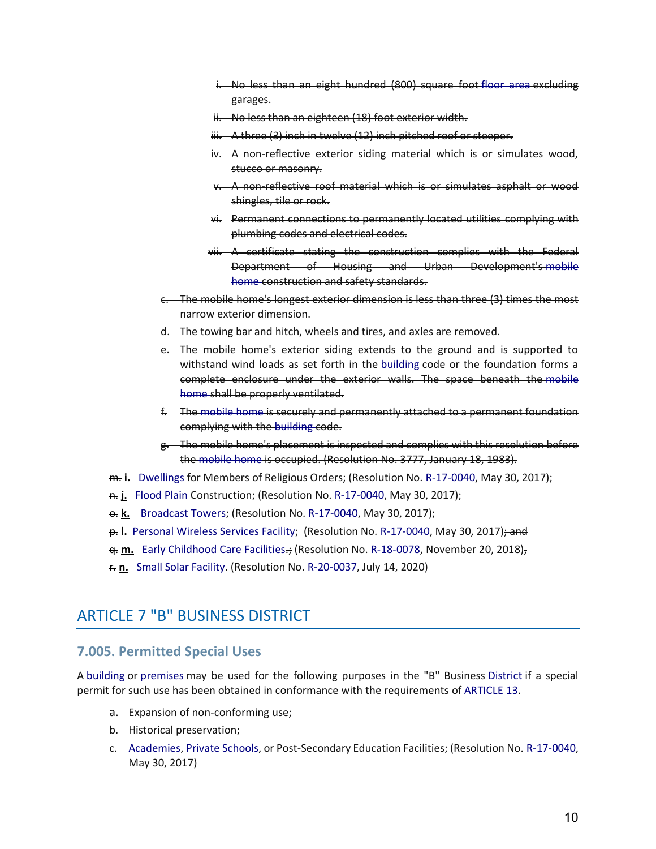- i. No less than an eight hundred (800) square foot floor area excluding garages.
- ii. No less than an eighteen (18) foot exterior width.
- iii. A three (3) inch in twelve (12) inch pitched roof or steeper.
- iv. A non-reflective exterior siding material which is or simulates wood, stucco or masonry.
- v. A non-reflective roof material which is or simulates asphalt or wood shingles, tile or rock.
- vi. Permanent connections to permanently located utilities complying with plumbing codes and electrical codes.
- vii. A certificate stating the construction complies with the Federal Department of Housing and Urban Development's mobile home construction and safety standards.
- c. The mobile home's longest exterior dimension is less than three (3) times the most narrow exterior dimension.
- d. The towing bar and hitch, wheels and tires, and axles are removed.
- e. The mobile home's exterior siding extends to the ground and is supported to withstand wind loads as set forth in the building code or the foundation forms a complete enclosure under the exterior walls. The space beneath the mobile home shall be properly ventilated.
- f. The mobile home is securely and permanently attached to a permanent foundation complying with the building code.
- g. The mobile home's placement is inspected and complies with this resolution before the mobile home is occupied. (Resolution No. 3777, January 18, 1983).
- m. **i.** Dwellings for Members of Religious Orders; (Resolution No. R-17-0040, May 30, 2017);
- n. **j.** Flood Plain Construction; (Resolution No. R-17-0040, May 30, 2017);
- **e. k.** Broadcast Towers; (Resolution No. R-17-0040, May 30, 2017);
- p. **l.** Personal Wireless Services Facility; (Resolution No. R-17-0040, May 30, 2017); and
- q. **m.** Early Childhood Care Facilities.; (Resolution No. R-18-0078, November 20, 2018),
- r. **n.** Small Solar Facility. (Resolution No. R-20-0037, July 14, 2020)

## ARTICLE 7 "B" BUSINESS DISTRICT

#### **7.005. Permitted Special Uses**

A building or premises may be used for the following purposes in the "B" Business District if a special permit for such use has been obtained in conformance with the requirements of ARTICLE 13.

- a. Expansion of non-conforming use;
- b. Historical preservation;
- c. Academies, Private Schools, or Post-Secondary Education Facilities; (Resolution No. R-17-0040, May 30, 2017)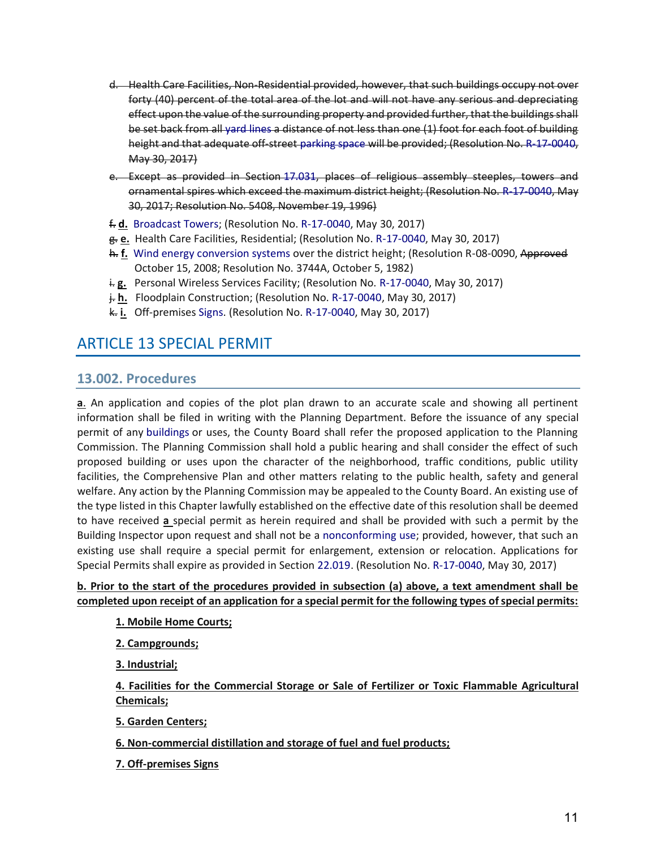- d. Health Care Facilities, Non-Residential provided, however, that such buildings occupy not over forty (40) percent of the total area of the lot and will not have any serious and depreciating effect upon the value of the surrounding property and provided further, that the buildings shall be set back from all yard lines a distance of not less than one (1) foot for each foot of building height and that adequate off-street parking space will be provided; (Resolution No. R-17-0040, May 30, 2017)
- e. Except as provided in Section 17.031, places of religious assembly steeples, towers and ornamental spires which exceed the maximum district height; (Resolution No. R-17-0040, May 30, 2017; Resolution No. 5408, November 19, 1996)
- f. **d.** Broadcast Towers; (Resolution No. R-17-0040, May 30, 2017)
- g. **e.** Health Care Facilities, Residential; (Resolution No. R-17-0040, May 30, 2017)
- h. **f.** Wind energy conversion systems over the district height; (Resolution R-08-0090, Approved October 15, 2008; Resolution No. 3744A, October 5, 1982)
- i.g. Personal Wireless Services Facility; (Resolution No. R-17-0040, May 30, 2017)
- j. **h.** Floodplain Construction; (Resolution No. R-17-0040, May 30, 2017)
- k. **i.** Off-premises Signs. (Resolution No. R-17-0040, May 30, 2017)

## ARTICLE 13 SPECIAL PERMIT

## **13.002. Procedures**

**a**. An application and copies of the plot plan drawn to an accurate scale and showing all pertinent information shall be filed in writing with the Planning Department. Before the issuance of any special permit of any buildings or uses, the County Board shall refer the proposed application to the Planning Commission. The Planning Commission shall hold a public hearing and shall consider the effect of such proposed building or uses upon the character of the neighborhood, traffic conditions, public utility facilities, the Comprehensive Plan and other matters relating to the public health, safety and general welfare. Any action by the Planning Commission may be appealed to the County Board. An existing use of the type listed in this Chapter lawfully established on the effective date of this resolution shall be deemed to have received **a** special permit as herein required and shall be provided with such a permit by the Building Inspector upon request and shall not be a nonconforming use; provided, however, that such an existing use shall require a special permit for enlargement, extension or relocation. Applications for Special Permits shall expire as provided in Section 22.019. (Resolution No. R-17-0040, May 30, 2017)

#### **b. Prior to the start of the procedures provided in subsection (a) above, a text amendment shall be completed upon receipt of an application for a special permit for the following types of special permits:**

#### **1. Mobile Home Courts;**

**2. Campgrounds;**

**3. Industrial;**

**4. Facilities for the Commercial Storage or Sale of Fertilizer or Toxic Flammable Agricultural Chemicals;**

**5. Garden Centers;**

#### **6. Non-commercial distillation and storage of fuel and fuel products;**

**7. Off-premises Signs**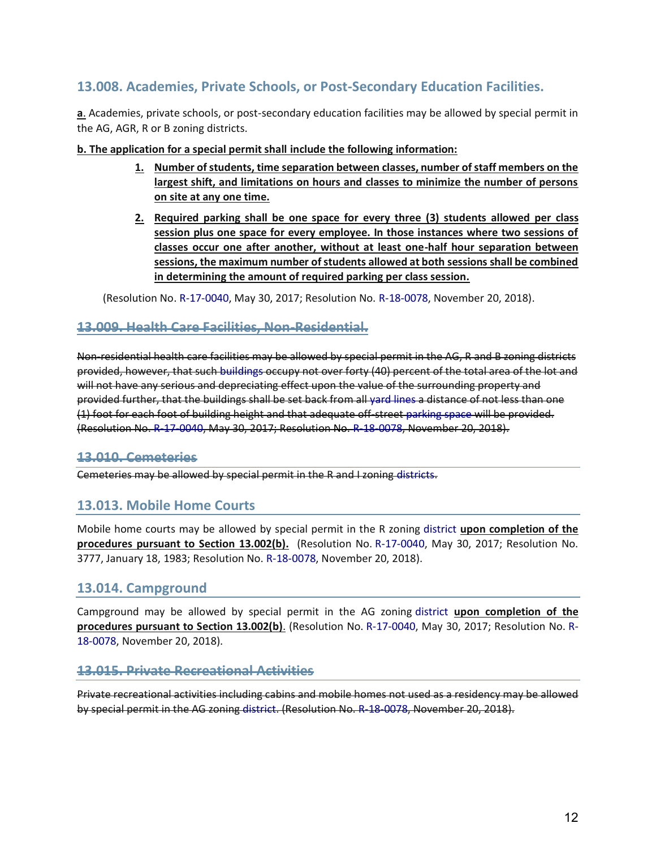## **13.008. Academies, Private Schools, or Post-Secondary Education Facilities.**

**a**. Academies, private schools, or post-secondary education facilities may be allowed by special permit in the AG, AGR, R or B zoning districts.

#### **b. The application for a special permit shall include the following information:**

- **1. Number of students, time separation between classes, number of staff members on the largest shift, and limitations on hours and classes to minimize the number of persons on site at any one time.**
- **2. Required parking shall be one space for every three (3) students allowed per class session plus one space for every employee. In those instances where two sessions of classes occur one after another, without at least one-half hour separation between sessions, the maximum number of students allowed at both sessions shall be combined in determining the amount of required parking per class session.**

(Resolution No. R-17-0040, May 30, 2017; Resolution No. R-18-0078, November 20, 2018).

## **13.009. Health Care Facilities, Non-Residential.**

Non-residential health care facilities may be allowed by special permit in the AG, R and B zoning districts provided, however, that such buildings occupy not over forty (40) percent of the total area of the lot and will not have any serious and depreciating effect upon the value of the surrounding property and provided further, that the buildings shall be set back from all yard lines a distance of not less than one (1) foot for each foot of building height and that adequate off-street parking space will be provided. (Resolution No. R-17-0040, May 30, 2017; Resolution No. R-18-0078, November 20, 2018).

## **13.010. Cemeteries**

Cemeteries may be allowed by special permit in the R and I zoning districts.

## **13.013. Mobile Home Courts**

Mobile home courts may be allowed by special permit in the R zoning district **upon completion of the procedures pursuant to Section 13.002(b).** (Resolution No. R-17-0040, May 30, 2017; Resolution No. 3777, January 18, 1983; Resolution No. R-18-0078, November 20, 2018).

## **13.014. Campground**

Campground may be allowed by special permit in the AG zoning district **upon completion of the procedures pursuant to Section 13.002(b)**. (Resolution No. R-17-0040, May 30, 2017; Resolution No. R-18-0078, November 20, 2018).

#### **13.015. Private Recreational Activities**

Private recreational activities including cabins and mobile homes not used as a residency may be allowed by special permit in the AG zoning district. (Resolution No. R-18-0078, November 20, 2018).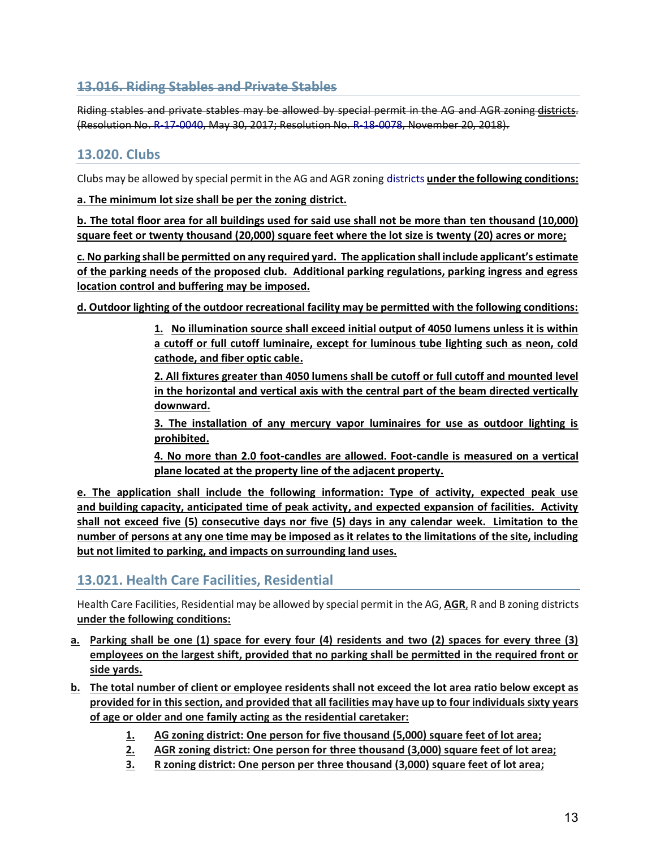## **13.016. Riding Stables and Private Stables**

Riding stables and private stables may be allowed by special permit in the AG and AGR zoning districts. (Resolution No. R-17-0040, May 30, 2017; Resolution No. R-18-0078, November 20, 2018).

## **13.020. Clubs**

Clubs may be allowed by special permit in the AG and AGR zoning districts **under the following conditions:**

**a. The minimum lot size shall be per the zoning district.**

**b. The total floor area for all buildings used for said use shall not be more than ten thousand (10,000) square feet or twenty thousand (20,000) square feet where the lot size is twenty (20) acres or more;** 

**c. No parking shall be permitted on any required yard. The application shall include applicant's estimate of the parking needs of the proposed club. Additional parking regulations, parking ingress and egress location control and buffering may be imposed.**

**d. Outdoor lighting of the outdoor recreational facility may be permitted with the following conditions:**

**1. No illumination source shall exceed initial output of 4050 lumens unless it is within a cutoff or full cutoff luminaire, except for luminous tube lighting such as neon, cold cathode, and fiber optic cable.**

**2. All fixtures greater than 4050 lumens shall be cutoff or full cutoff and mounted level in the horizontal and vertical axis with the central part of the beam directed vertically downward.**

**3. The installation of any mercury vapor luminaires for use as outdoor lighting is prohibited.** 

**4. No more than 2.0 foot-candles are allowed. Foot-candle is measured on a vertical plane located at the property line of the adjacent property.**

**e. The application shall include the following information: Type of activity, expected peak use and building capacity, anticipated time of peak activity, and expected expansion of facilities. Activity shall not exceed five (5) consecutive days nor five (5) days in any calendar week. Limitation to the number of persons at any one time may be imposed as it relates to the limitations of the site, including but not limited to parking, and impacts on surrounding land uses.**

## **13.021. Health Care Facilities, Residential**

Health Care Facilities, Residential may be allowed by special permit in the AG, **AGR**, R and B zoning districts **under the following conditions:**

- **a. Parking shall be one (1) space for every four (4) residents and two (2) spaces for every three (3) employees on the largest shift, provided that no parking shall be permitted in the required front or side yards.**
- **b. The total number of client or employee residents shall not exceed the lot area ratio below except as provided for in this section, and provided that all facilities may have up to four individuals sixty years of age or older and one family acting as the residential caretaker:**
	- **1. AG zoning district: One person for five thousand (5,000) square feet of lot area;**
	- **2. AGR zoning district: One person for three thousand (3,000) square feet of lot area;**
	- **3. R zoning district: One person per three thousand (3,000) square feet of lot area;**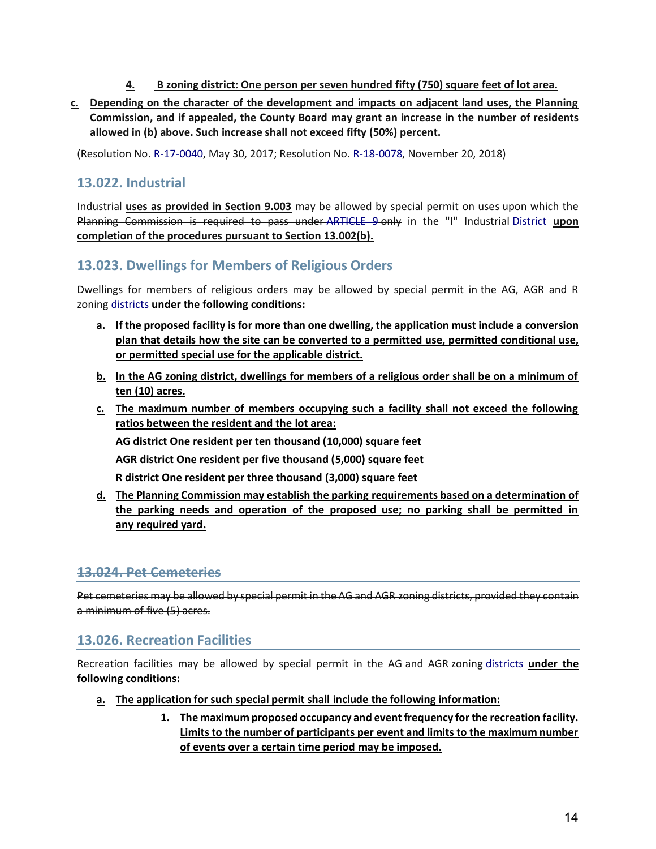- **4. B zoning district: One person per seven hundred fifty (750) square feet of lot area.**
- **c. Depending on the character of the development and impacts on adjacent land uses, the Planning Commission, and if appealed, the County Board may grant an increase in the number of residents allowed in (b) above. Such increase shall not exceed fifty (50%) percent.**

(Resolution No. R-17-0040, May 30, 2017; Resolution No. R-18-0078, November 20, 2018)

## **13.022. Industrial**

Industrial **uses as provided in Section 9.003** may be allowed by special permit on uses upon which the Planning Commission is required to pass under ARTICLE 9 only in the "I" Industrial District **upon completion of the procedures pursuant to Section 13.002(b).**

## **13.023. Dwellings for Members of Religious Orders**

Dwellings for members of religious orders may be allowed by special permit in the AG, AGR and R zoning districts **under the following conditions:**

- **a. If the proposed facility is for more than one dwelling, the application must include a conversion plan that details how the site can be converted to a permitted use, permitted conditional use, or permitted special use for the applicable district.**
- **b. In the AG zoning district, dwellings for members of a religious order shall be on a minimum of ten (10) acres.**
- **c. The maximum number of members occupying such a facility shall not exceed the following ratios between the resident and the lot area:**

**AG district One resident per ten thousand (10,000) square feet**

**AGR district One resident per five thousand (5,000) square feet**

**R district One resident per three thousand (3,000) square feet**

**d. The Planning Commission may establish the parking requirements based on a determination of the parking needs and operation of the proposed use; no parking shall be permitted in any required yard.** 

## **13.024. Pet Cemeteries**

Pet cemeteries may be allowed by special permit in the AG and AGR zoning districts, provided they contain a minimum of five (5) acres.

## **13.026. Recreation Facilities**

Recreation facilities may be allowed by special permit in the AG and AGR zoning districts **under the following conditions:**

- **a. The application for such special permit shall include the following information:**
	- **1. The maximum proposed occupancy and event frequency for the recreation facility. Limits to the number of participants per event and limits to the maximum number of events over a certain time period may be imposed.**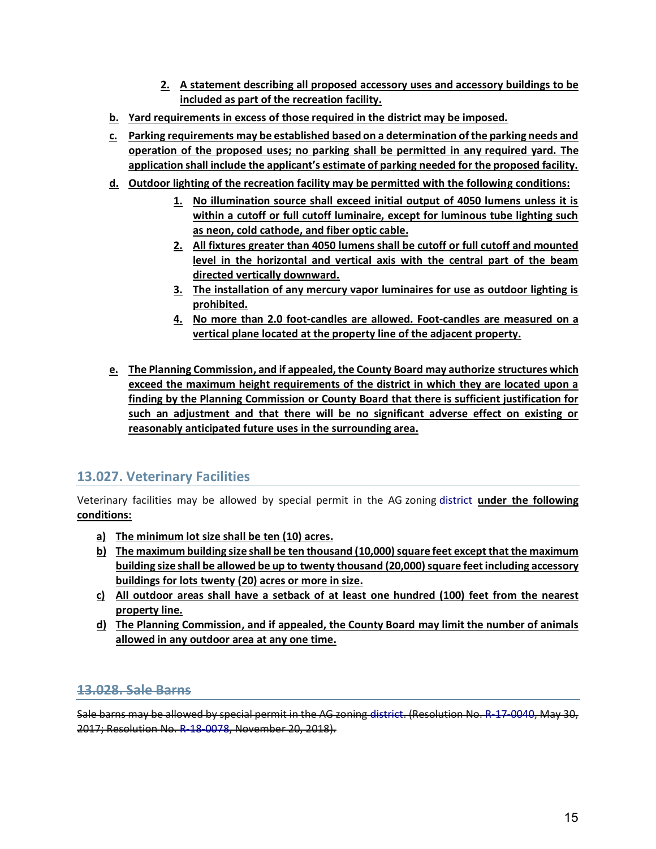- **2. A statement describing all proposed accessory uses and accessory buildings to be included as part of the recreation facility.**
- **b. Yard requirements in excess of those required in the district may be imposed.**
- **c. Parking requirements may be established based on a determination of the parking needs and operation of the proposed uses; no parking shall be permitted in any required yard. The application shall include the applicant's estimate of parking needed for the proposed facility.**
- **d. Outdoor lighting of the recreation facility may be permitted with the following conditions:**
	- **1. No illumination source shall exceed initial output of 4050 lumens unless it is within a cutoff or full cutoff luminaire, except for luminous tube lighting such as neon, cold cathode, and fiber optic cable.**
	- **2. All fixtures greater than 4050 lumens shall be cutoff or full cutoff and mounted level in the horizontal and vertical axis with the central part of the beam directed vertically downward.**
	- **3. The installation of any mercury vapor luminaires for use as outdoor lighting is prohibited.**
	- **4. No more than 2.0 foot-candles are allowed. Foot-candles are measured on a vertical plane located at the property line of the adjacent property.**
- **e. The Planning Commission, and if appealed, the County Board may authorize structures which exceed the maximum height requirements of the district in which they are located upon a finding by the Planning Commission or County Board that there is sufficient justification for such an adjustment and that there will be no significant adverse effect on existing or reasonably anticipated future uses in the surrounding area.**

## **13.027. Veterinary Facilities**

Veterinary facilities may be allowed by special permit in the AG zoning district **under the following conditions:**

- **a) The minimum lot size shall be ten (10) acres.**
- **b**) The maximum building size shall be ten thousand (10,000) square feet except that the maximum **building size shall be allowed be up to twenty thousand (20,000) square feet including accessory buildings for lots twenty (20) acres or more in size.**
- **c) All outdoor areas shall have a setback of at least one hundred (100) feet from the nearest property line.**
- **d) The Planning Commission, and if appealed, the County Board may limit the number of animals allowed in any outdoor area at any one time.**

## **13.028. Sale Barns**

Sale barns may be allowed by special permit in the AG zoning district. (Resolution No. R-17-0040, May 30, 2017; Resolution No. R-18-0078, November 20, 2018).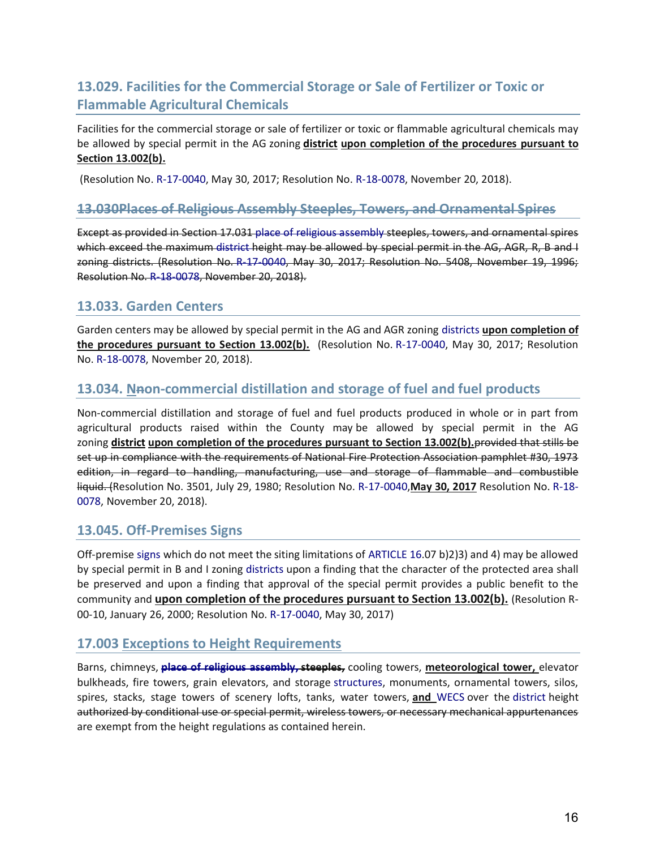## **13.029. Facilities for the Commercial Storage or Sale of Fertilizer or Toxic or Flammable Agricultural Chemicals**

Facilities for the commercial storage or sale of fertilizer or toxic or flammable agricultural chemicals may be allowed by special permit in the AG zoning **district upon completion of the procedures pursuant to Section 13.002(b).**

(Resolution No. R-17-0040, May 30, 2017; Resolution No. R-18-0078, November 20, 2018).

#### **13.030Places of Religious Assembly Steeples, Towers, and Ornamental Spires**

Except as provided in Section 17.031 place of religious assembly steeples, towers, and ornamental spires which exceed the maximum district height may be allowed by special permit in the AG, AGR, R, B and I zoning districts. (Resolution No. R-17-0040, May 30, 2017; Resolution No. 5408, November 19, 1996; Resolution No. R-18-0078, November 20, 2018).

## **13.033. Garden Centers**

Garden centers may be allowed by special permit in the AG and AGR zoning districts **upon completion of the procedures pursuant to Section 13.002(b).** (Resolution No. R-17-0040, May 30, 2017; Resolution No. R-18-0078, November 20, 2018).

## **13.034. Nnon-commercial distillation and storage of fuel and fuel products**

Non-commercial distillation and storage of fuel and fuel products produced in whole or in part from agricultural products raised within the County may be allowed by special permit in the AG zoning **district upon completion of the procedures pursuant to Section 13.002(b).**provided that stills be set up in compliance with the requirements of National Fire Protection Association pamphlet #30, 1973 edition, in regard to handling, manufacturing, use and storage of flammable and combustible liquid. (Resolution No. 3501, July 29, 1980; Resolution No. R-17-0040,**May 30, 2017** Resolution No. R-18- 0078, November 20, 2018).

## **13.045. Off-Premises Signs**

Off-premise signs which do not meet the siting limitations of ARTICLE 16.07 b)2)3) and 4) may be allowed by special permit in B and I zoning districts upon a finding that the character of the protected area shall be preserved and upon a finding that approval of the special permit provides a public benefit to the community and **upon completion of the procedures pursuant to Section 13.002(b).** (Resolution R-00-10, January 26, 2000; Resolution No. R-17-0040, May 30, 2017)

## **17.003 Exceptions to Height Requirements**

Barns, chimneys, **place of religious assembly, steeples,** cooling towers, **meteorological tower,** elevator bulkheads, fire towers, grain elevators, and storage structures, monuments, ornamental towers, silos, spires, stacks, stage towers of scenery lofts, tanks, water towers, **and** WECS over the district height authorized by conditional use or special permit, wireless towers, or necessary mechanical appurtenances are exempt from the height regulations as contained herein.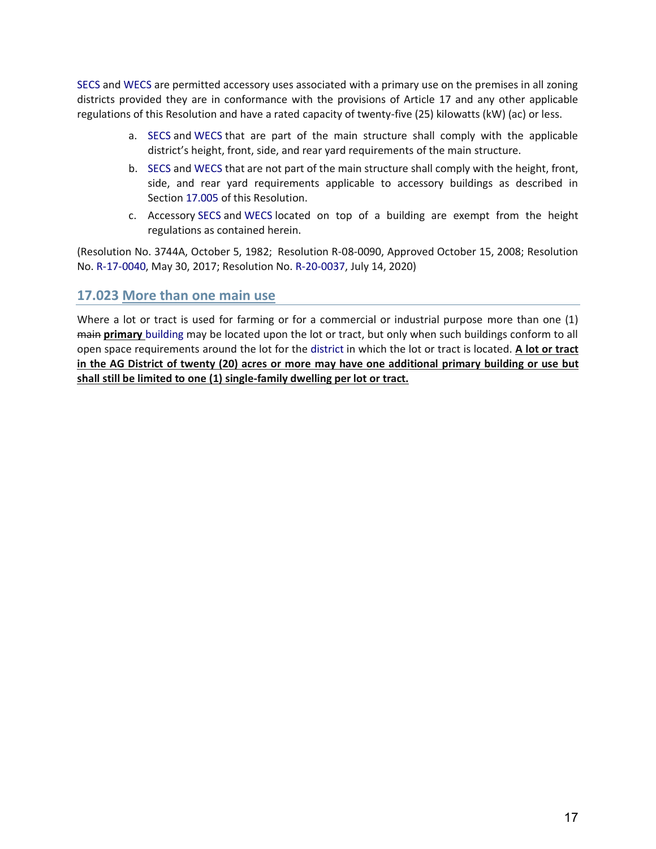SECS and WECS are permitted accessory uses associated with a primary use on the premises in all zoning districts provided they are in conformance with the provisions of Article 17 and any other applicable regulations of this Resolution and have a rated capacity of twenty-five (25) kilowatts (kW) (ac) or less.

- a. SECS and WECS that are part of the main structure shall comply with the applicable district's height, front, side, and rear yard requirements of the main structure.
- b. SECS and WECS that are not part of the main structure shall comply with the height, front, side, and rear yard requirements applicable to accessory buildings as described in Section 17.005 of this Resolution.
- c. Accessory SECS and WECS located on top of a building are exempt from the height regulations as contained herein.

(Resolution No. 3744A, October 5, 1982; Resolution R-08-0090, Approved October 15, 2008; Resolution No. R-17-0040, May 30, 2017; Resolution No. R-20-0037, July 14, 2020)

## **17.023 More than one main use**

Where a lot or tract is used for farming or for a commercial or industrial purpose more than one (1) main **primary** building may be located upon the lot or tract, but only when such buildings conform to all open space requirements around the lot for the district in which the lot or tract is located. **A lot or tract in the AG District of twenty (20) acres or more may have one additional primary building or use but shall still be limited to one (1) single-family dwelling per lot or tract.**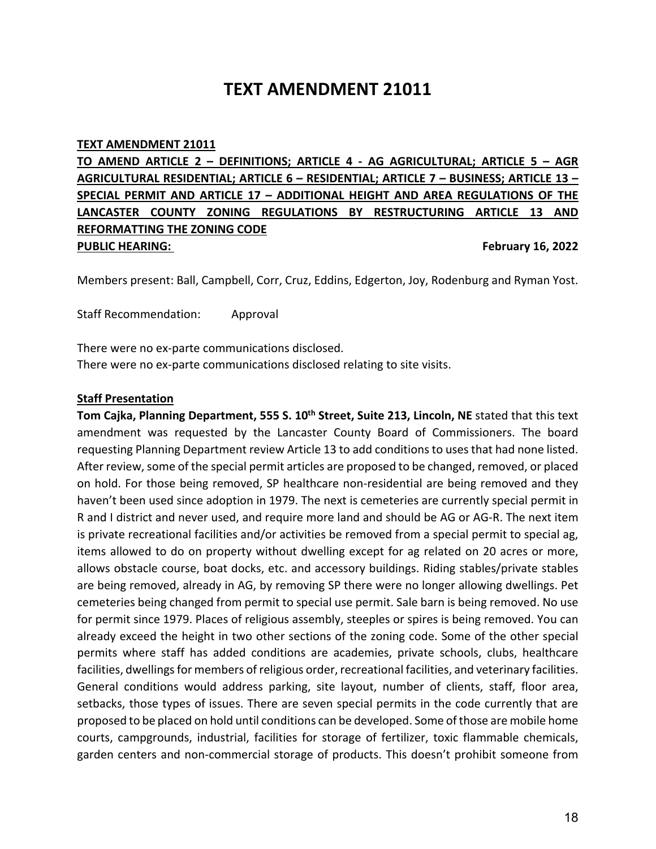# **TEXT AMENDMENT 21011**

#### **TEXT AMENDMENT 21011**

**TO AMEND ARTICLE 2 – DEFINITIONS; ARTICLE 4 - AG AGRICULTURAL; ARTICLE 5 – AGR AGRICULTURAL RESIDENTIAL; ARTICLE 6 – RESIDENTIAL; ARTICLE 7 – BUSINESS; ARTICLE 13 – SPECIAL PERMIT AND ARTICLE 17 – ADDITIONAL HEIGHT AND AREA REGULATIONS OF THE LANCASTER COUNTY ZONING REGULATIONS BY RESTRUCTURING ARTICLE 13 AND REFORMATTING THE ZONING CODE PUBLIC HEARING: February 16, 2022** 

Members present: Ball, Campbell, Corr, Cruz, Eddins, Edgerton, Joy, Rodenburg and Ryman Yost.

Staff Recommendation: Approval

There were no ex-parte communications disclosed.

There were no ex-parte communications disclosed relating to site visits.

#### **Staff Presentation**

**Tom Cajka, Planning Department, 555 S. 10<sup>th</sup> Street, Suite 213, Lincoln, NE** stated that this text amendment was requested by the Lancaster County Board of Commissioners. The board requesting Planning Department review Article 13 to add conditions to uses that had none listed. After review, some of the special permit articles are proposed to be changed, removed, or placed on hold. For those being removed, SP healthcare non-residential are being removed and they haven't been used since adoption in 1979. The next is cemeteries are currently special permit in R and I district and never used, and require more land and should be AG or AG-R. The next item is private recreational facilities and/or activities be removed from a special permit to special ag, items allowed to do on property without dwelling except for ag related on 20 acres or more, allows obstacle course, boat docks, etc. and accessory buildings. Riding stables/private stables are being removed, already in AG, by removing SP there were no longer allowing dwellings. Pet cemeteries being changed from permit to special use permit. Sale barn is being removed. No use for permit since 1979. Places of religious assembly, steeples or spires is being removed. You can already exceed the height in two other sections of the zoning code. Some of the other special permits where staff has added conditions are academies, private schools, clubs, healthcare facilities, dwellings for members of religious order, recreational facilities, and veterinary facilities. General conditions would address parking, site layout, number of clients, staff, floor area, setbacks, those types of issues. There are seven special permits in the code currently that are proposed to be placed on hold until conditions can be developed. Some of those are mobile home courts, campgrounds, industrial, facilities for storage of fertilizer, toxic flammable chemicals, garden centers and non-commercial storage of products. This doesn't prohibit someone from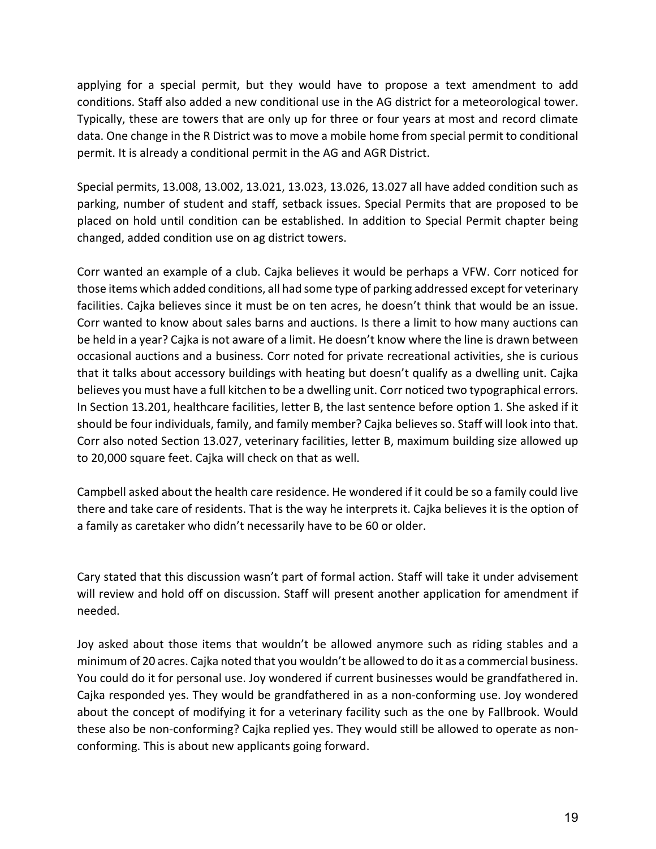applying for a special permit, but they would have to propose a text amendment to add conditions. Staff also added a new conditional use in the AG district for a meteorological tower. Typically, these are towers that are only up for three or four years at most and record climate data. One change in the R District was to move a mobile home from special permit to conditional permit. It is already a conditional permit in the AG and AGR District.

Special permits, 13.008, 13.002, 13.021, 13.023, 13.026, 13.027 all have added condition such as parking, number of student and staff, setback issues. Special Permits that are proposed to be placed on hold until condition can be established. In addition to Special Permit chapter being changed, added condition use on ag district towers.

Corr wanted an example of a club. Cajka believes it would be perhaps a VFW. Corr noticed for those items which added conditions, all had some type of parking addressed except for veterinary facilities. Cajka believes since it must be on ten acres, he doesn't think that would be an issue. Corr wanted to know about sales barns and auctions. Is there a limit to how many auctions can be held in a year? Cajka is not aware of a limit. He doesn't know where the line is drawn between occasional auctions and a business. Corr noted for private recreational activities, she is curious that it talks about accessory buildings with heating but doesn't qualify as a dwelling unit. Cajka believes you must have a full kitchen to be a dwelling unit. Corr noticed two typographical errors. In Section 13.201, healthcare facilities, letter B, the last sentence before option 1. She asked if it should be four individuals, family, and family member? Cajka believes so. Staff will look into that. Corr also noted Section 13.027, veterinary facilities, letter B, maximum building size allowed up to 20,000 square feet. Cajka will check on that as well.

Campbell asked about the health care residence. He wondered if it could be so a family could live there and take care of residents. That is the way he interprets it. Cajka believes it is the option of a family as caretaker who didn't necessarily have to be 60 or older.

Cary stated that this discussion wasn't part of formal action. Staff will take it under advisement will review and hold off on discussion. Staff will present another application for amendment if needed.

Joy asked about those items that wouldn't be allowed anymore such as riding stables and a minimum of 20 acres. Cajka noted that you wouldn't be allowed to do it as a commercial business. You could do it for personal use. Joy wondered if current businesses would be grandfathered in. Cajka responded yes. They would be grandfathered in as a non-conforming use. Joy wondered about the concept of modifying it for a veterinary facility such as the one by Fallbrook. Would these also be non-conforming? Cajka replied yes. They would still be allowed to operate as nonconforming. This is about new applicants going forward.